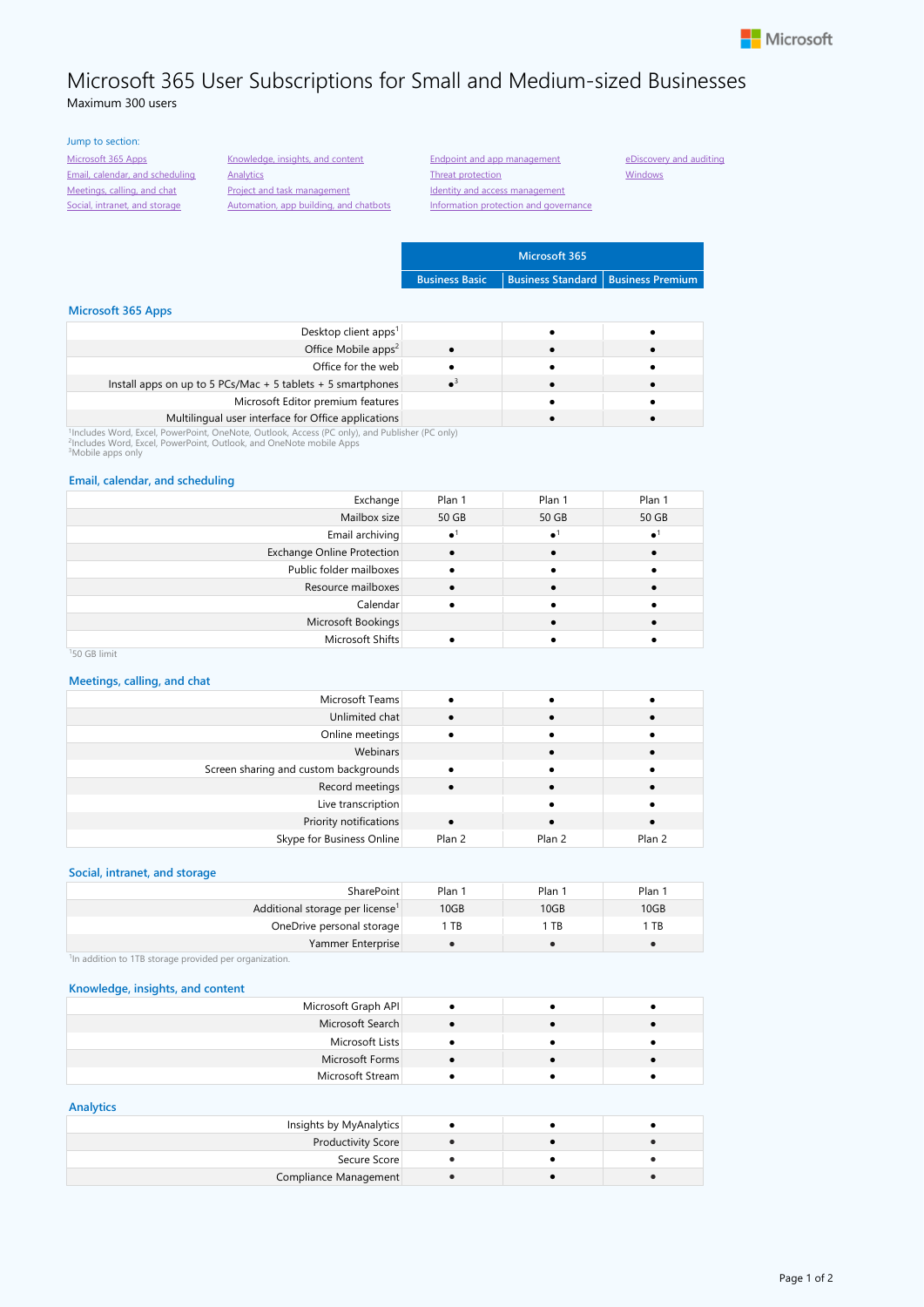

# Microsoft 365 User Subscriptions for Small and Medium-sized Businesses Maximum 300 users

## Jump to section: [Microsoft 365 Apps](#page-0-0)

[Email, calendar, and scheduling](#page-0-1) [Meetings, calling, and chat](#page-0-2) [Social, intranet, and storage](#page-0-3)

[Knowledge, insights, and content](#page-0-4) **[Analytics](#page-0-5)** [Project and task management](#page-1-0) [Automation, app building, and chatbots](#page-1-1)

[Information protection and governance](#page-1-5)

[eDiscovery and auditing](#page-1-6) **[Windows](#page-1-7)** 

**Microsoft 365 Business Basic Business Standard Business Premium**

## <span id="page-0-0"></span>**Microsoft 365 Apps**

| Desktop client apps <sup>1</sup>                            |  |  |
|-------------------------------------------------------------|--|--|
| Office Mobile apps <sup>2</sup>                             |  |  |
| Office for the web                                          |  |  |
| Install apps on up to 5 PCs/Mac + 5 tablets + 5 smartphones |  |  |
| Microsoft Editor premium features                           |  |  |
| Multilingual user interface for Office applications         |  |  |
| li i uz in ha na na na na mai a mata ini mai i              |  |  |

**Multilingual user interface for Office applications**<br><sup>?</sup>Includes Word, Excel, PowerPoint, OneNote, Outlook, Access (PC only), and Publisher (PC only)<br><sup>?</sup>Includes Word, Excel, PowerPoint, Outlook, and OneNote mobile Apps<br><sup></sup>

### <span id="page-0-1"></span>**Email, calendar, and scheduling**

| Exchange                   | Plan 1                 | Plan 1 | Plan 1 |
|----------------------------|------------------------|--------|--------|
| Mailbox size               | 50 GB                  | 50 GB  | 50 GB  |
| Email archiving            | $\bullet$ <sup>1</sup> |        |        |
| Exchange Online Protection |                        |        |        |
| Public folder mailboxes    |                        |        |        |
| Resource mailboxes         |                        |        |        |
| Calendar                   |                        |        |        |
| Microsoft Bookings         |                        |        |        |
| Microsoft Shifts           |                        |        |        |

### <sup>1</sup>50 GB limit

### <span id="page-0-2"></span>**Meetings, calling, and chat**

|                  |        | Microsoft Teams                       |
|------------------|--------|---------------------------------------|
|                  |        | Unlimited chat                        |
|                  |        | Online meetings                       |
|                  |        | Webinars                              |
|                  |        | Screen sharing and custom backgrounds |
|                  |        | Record meetings                       |
|                  |        | Live transcription                    |
|                  |        | Priority notifications                |
| Plan 2<br>Plan 2 | Plan 2 | Skype for Business Online             |

## <span id="page-0-3"></span>**Social, intranet, and storage**

| SharePoint                                  | Plan 1 | Plan 1 | Plan 1 |
|---------------------------------------------|--------|--------|--------|
| Additional storage per license <sup>1</sup> | 10GB   | 10GB   | 10GB   |
| OneDrive personal storage                   | TB     | TB     | TB     |
| Yammer Enterprise                           |        |        |        |

<sup>1</sup>In addition to 1TB storage provided per organization.

#### <span id="page-0-4"></span>**Knowledge, insights, and content**

| Microsoft Graph API |  |  |
|---------------------|--|--|
| Microsoft Search    |  |  |
| Microsoft Lists     |  |  |
| Microsoft Forms     |  |  |
| Microsoft Stream    |  |  |
|                     |  |  |

#### <span id="page-0-5"></span>**Analytics**

| Insights by MyAnalytics   |  |  |
|---------------------------|--|--|
| <b>Productivity Score</b> |  |  |
| Secure Score              |  |  |
| Compliance Management     |  |  |